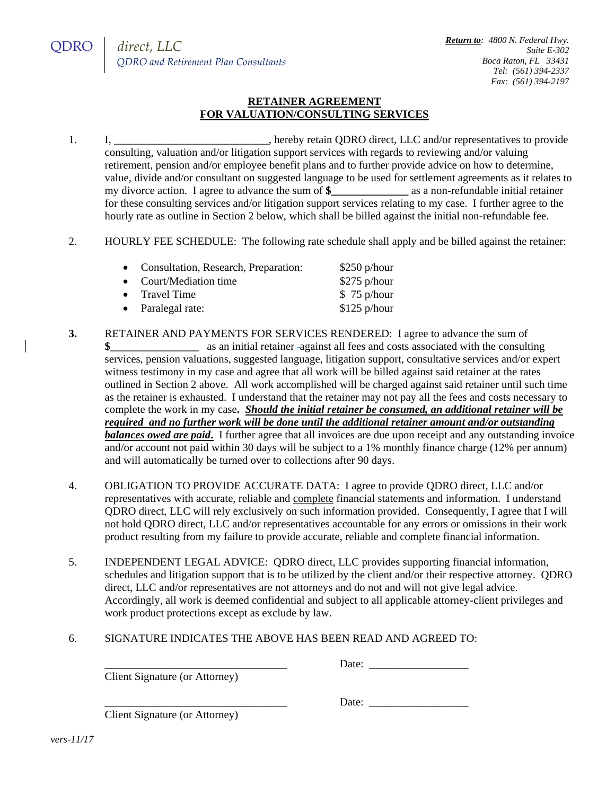## **RETAINER AGREEMENT FOR VALUATION/CONSULTING SERVICES**

- 1. I, \_\_\_\_\_\_\_\_\_\_\_\_\_\_\_\_\_\_\_\_\_\_\_, hereby retain QDRO direct, LLC and/or representatives to provide consulting, valuation and/or litigation support services with regards to reviewing and/or valuing retirement, pension and/or employee benefit plans and to further provide advice on how to determine, value, divide and/or consultant on suggested language to be used for settlement agreements as it relates to my divorce action. I agree to advance the sum of **\$\_\_\_\_\_\_\_\_\_\_\_\_\_\_** as a non-refundable initial retainer for these consulting services and/or litigation support services relating to my case. I further agree to the hourly rate as outline in Section 2 below, which shall be billed against the initial non-refundable fee.
- 2. HOURLY FEE SCHEDULE: The following rate schedule shall apply and be billed against the retainer:

| $$250$ p/hour |
|---------------|
| $$275$ p/hour |
| \$75 p/hour   |
| $$125$ p/hour |
|               |

- **3.** RETAINER AND PAYMENTS FOR SERVICES RENDERED: I agree to advance the sum of **\$** as an initial retainer -against all fees and costs associated with the consulting services, pension valuations, suggested language, litigation support, consultative services and/or expert witness testimony in my case and agree that all work will be billed against said retainer at the rates outlined in Section 2 above. All work accomplished will be charged against said retainer until such time as the retainer is exhausted. I understand that the retainer may not pay all the fees and costs necessary to complete the work in my case**.** *Should the initial retainer be consumed, an additional retainer will be required and no further work will be done until the additional retainer amount and/or outstanding balances owed are paid***.** I further agree that all invoices are due upon receipt and any outstanding invoice and/or account not paid within 30 days will be subject to a 1% monthly finance charge (12% per annum) and will automatically be turned over to collections after 90 days.
- 4. OBLIGATION TO PROVIDE ACCURATE DATA: I agree to provide QDRO direct, LLC and/or representatives with accurate, reliable and complete financial statements and information. I understand QDRO direct, LLC will rely exclusively on such information provided. Consequently, I agree that I will not hold QDRO direct, LLC and/or representatives accountable for any errors or omissions in their work product resulting from my failure to provide accurate, reliable and complete financial information.
- 5. INDEPENDENT LEGAL ADVICE: QDRO direct, LLC provides supporting financial information, schedules and litigation support that is to be utilized by the client and/or their respective attorney. QDRO direct, LLC and/or representatives are not attorneys and do not and will not give legal advice. Accordingly, all work is deemed confidential and subject to all applicable attorney-client privileges and work product protections except as exclude by law.
- 6. SIGNATURE INDICATES THE ABOVE HAS BEEN READ AND AGREED TO:

Client Signature (or Attorney)

Date:

Client Signature (or Attorney)

Date: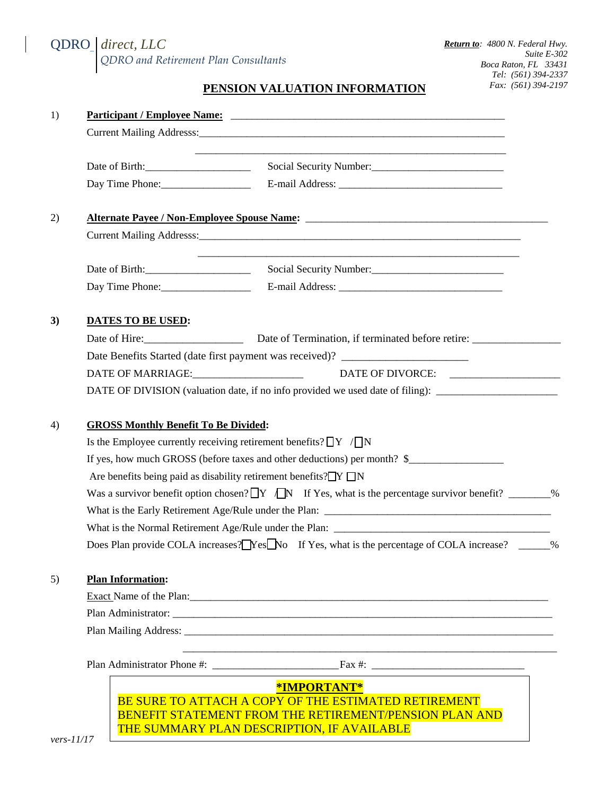## QDRO *direct, LLC QDRO and Retirement Plan Consultants*

## **PENSION VALUATION INFORMATION**

| 1)                 |                                             | Participant / Employee Name: Later and Contract Contract of the Contract of the Contract of the Contract of the Contract of the Contract of the Contract of the Contract of the Contract of the Contract of the Contract of th |  |
|--------------------|---------------------------------------------|--------------------------------------------------------------------------------------------------------------------------------------------------------------------------------------------------------------------------------|--|
|                    |                                             |                                                                                                                                                                                                                                |  |
|                    |                                             | Social Security Number:                                                                                                                                                                                                        |  |
|                    | Day Time Phone:                             |                                                                                                                                                                                                                                |  |
| 2)                 |                                             |                                                                                                                                                                                                                                |  |
|                    |                                             |                                                                                                                                                                                                                                |  |
|                    |                                             | Social Security Number:<br><u> </u>                                                                                                                                                                                            |  |
|                    | Day Time Phone:                             |                                                                                                                                                                                                                                |  |
| 3)                 | <b>DATES TO BE USED:</b>                    |                                                                                                                                                                                                                                |  |
|                    |                                             | Date of Hire: Date of Termination, if terminated before retire: _________________                                                                                                                                              |  |
|                    |                                             | Date Benefits Started (date first payment was received)? _______________________                                                                                                                                               |  |
|                    |                                             |                                                                                                                                                                                                                                |  |
|                    |                                             | DATE OF DIVISION (valuation date, if no info provided we used date of filing):                                                                                                                                                 |  |
| 4)                 | <b>GROSS Monthly Benefit To Be Divided:</b> |                                                                                                                                                                                                                                |  |
|                    |                                             | Is the Employee currently receiving retirement benefits? $\Box Y / \Box N$                                                                                                                                                     |  |
|                    |                                             | If yes, how much GROSS (before taxes and other deductions) per month? \$                                                                                                                                                       |  |
|                    |                                             | Are benefits being paid as disability retirement benefits? $\Box Y \Box N$                                                                                                                                                     |  |
|                    |                                             | Was a survivor benefit option chosen? $\Box Y$ $\Box N$ If Yes, what is the percentage survivor benefit? _______%                                                                                                              |  |
|                    |                                             |                                                                                                                                                                                                                                |  |
|                    |                                             | What is the Normal Retirement Age/Rule under the Plan:                                                                                                                                                                         |  |
|                    |                                             | Does Plan provide COLA increases? Yes No If Yes, what is the percentage of COLA increase? ______ %                                                                                                                             |  |
| 5)                 | <b>Plan Information:</b>                    |                                                                                                                                                                                                                                |  |
|                    |                                             |                                                                                                                                                                                                                                |  |
|                    |                                             |                                                                                                                                                                                                                                |  |
|                    |                                             | Plan Mailing Address: Universe of the Contractor of the Contractor of the Contractor of the Contractor of the Contractor of the Contractor of the Contractor of the Contractor of the Contractor of the Contractor of the Cont |  |
|                    |                                             |                                                                                                                                                                                                                                |  |
|                    |                                             | *IMPORTANT*                                                                                                                                                                                                                    |  |
| $v\rho r s_1 1/17$ |                                             | <b>BE SURE TO ATTACH A COPY OF THE ESTIMATED RETIREMENT</b><br><b>BENEFIT STATEMENT FROM THE RETIREMENT/PENSION PLAN AND</b><br>THE SUMMARY PLAN DESCRIPTION, IF AVAILABLE                                                     |  |